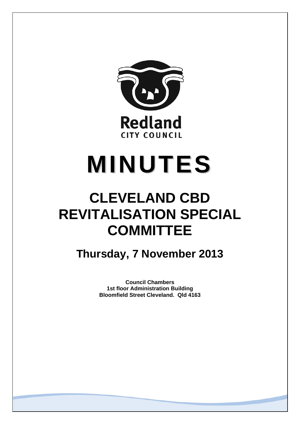

# **MINUTES**

### **CLEVELAND CBD REVITALISATION SPECIAL COMMITTEE**

### **Thursday, 7 November 2013**

**Council Chambers 1st floor Administration Building Bloomfield Street Cleveland. Qld 4163**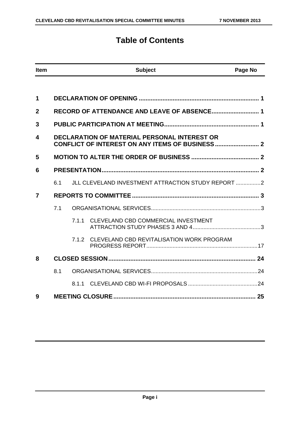### **Table of Contents**

| <b>Item</b> |     |                                                     | <b>Subject</b>                                     | Page No |
|-------------|-----|-----------------------------------------------------|----------------------------------------------------|---------|
|             |     |                                                     |                                                    |         |
| 1           |     |                                                     |                                                    |         |
| $\mathbf 2$ |     |                                                     | RECORD OF ATTENDANCE AND LEAVE OF ABSENCE 1        |         |
| 3           |     |                                                     |                                                    |         |
| 4           |     | <b>DECLARATION OF MATERIAL PERSONAL INTEREST OR</b> |                                                    |         |
| 5           |     |                                                     |                                                    |         |
| 6           |     |                                                     |                                                    |         |
|             | 6.1 |                                                     | JLL CLEVELAND INVESTMENT ATTRACTION STUDY REPORT 2 |         |
| 7           |     |                                                     |                                                    |         |
|             | 7.1 |                                                     |                                                    |         |
|             |     | 7.1.1                                               | CLEVELAND CBD COMMERCIAL INVESTMENT                |         |
|             |     | 7.1.2                                               | CLEVELAND CBD REVITALISATION WORK PROGRAM          |         |
| 8           |     |                                                     |                                                    |         |
|             | 8.1 |                                                     |                                                    |         |
|             |     | 8.1.1                                               |                                                    |         |
| 9           |     |                                                     |                                                    |         |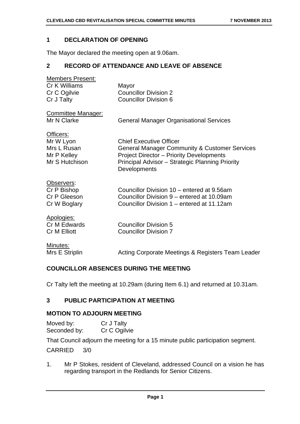### **1 DECLARATION OF OPENING**

The Mayor declared the meeting open at 9.06am.

### **2 RECORD OF ATTENDANCE AND LEAVE OF ABSENCE**

| <b>Members Present:</b>                  |                                                                 |
|------------------------------------------|-----------------------------------------------------------------|
| Cr K Williams                            | Mayor                                                           |
| Cr C Ogilvie                             | <b>Councillor Division 2</b>                                    |
| Cr J Talty                               | <b>Councillor Division 6</b>                                    |
| <b>Committee Manager:</b><br>Mr N Clarke | <b>General Manager Organisational Services</b>                  |
|                                          |                                                                 |
| Officers:                                |                                                                 |
| Mr W Lyon                                | <b>Chief Executive Officer</b>                                  |
| Mrs L Rusan                              | <b>General Manager Community &amp; Customer Services</b>        |
| Mr P Kelley                              | <b>Project Director - Priority Developments</b>                 |
| Mr S Hutchison                           | Principal Advisor - Strategic Planning Priority<br>Developments |
| Observers:                               |                                                                 |
| Cr P Bishop                              | Councillor Division 10 – entered at 9.56am                      |
| Cr P Gleeson                             | Councillor Division 9 – entered at 10.09am                      |
| Cr W Boglary                             | Councillor Division 1 – entered at 11.12am                      |
| Apologies:                               |                                                                 |
| Cr M Edwards                             | <b>Councillor Division 5</b>                                    |
| <b>Cr M Elliott</b>                      | <b>Councillor Division 7</b>                                    |
| Minutes:                                 |                                                                 |
| Mrs E Striplin                           | Acting Corporate Meetings & Registers Team Leader               |

### **COUNCILLOR ABSENCES DURING THE MEETING**

Cr Talty left the meeting at 10.29am (during Item 6.1) and returned at 10.31am.

### **3 PUBLIC PARTICIPATION AT MEETING**

### **MOTION TO ADJOURN MEETING**

| Moved by:    | Cr J Talty   |
|--------------|--------------|
| Seconded by: | Cr C Ogilvie |

That Council adjourn the meeting for a 15 minute public participation segment.

CARRIED 3/0

1. Mr P Stokes, resident of Cleveland, addressed Council on a vision he has regarding transport in the Redlands for Senior Citizens.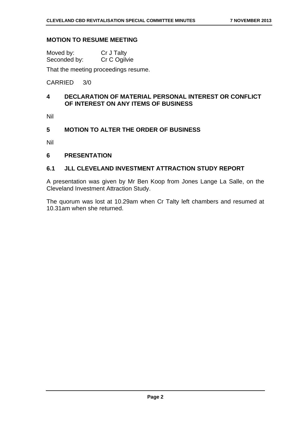### **MOTION TO RESUME MEETING**

| Moved by:    | Cr J Talty   |
|--------------|--------------|
| Seconded by: | Cr C Ogilvie |

That the meeting proceedings resume.

### CARRIED 3/0

### **4 DECLARATION OF MATERIAL PERSONAL INTEREST OR CONFLICT OF INTEREST ON ANY ITEMS OF BUSINESS**

Nil

### **5 MOTION TO ALTER THE ORDER OF BUSINESS**

Nil

### **6 PRESENTATION**

### **6.1 JLL CLEVELAND INVESTMENT ATTRACTION STUDY REPORT**

A presentation was given by Mr Ben Koop from Jones Lange La Salle, on the Cleveland Investment Attraction Study.

The quorum was lost at 10.29am when Cr Talty left chambers and resumed at 10.31am when she returned.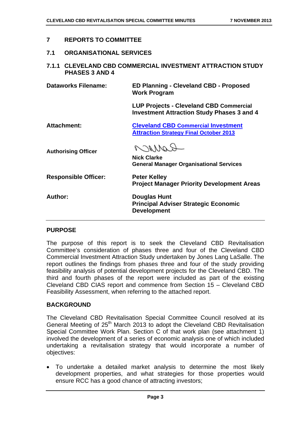### **7 REPORTS TO COMMITTEE**

**7.1 ORGANISATIONAL SERVICES** 

### **7.1.1 CLEVELAND CBD COMMERCIAL INVESTMENT ATTRACTION STUDY PHASES 3 AND 4**

**Dataworks Filename: ED Planning - Cleveland CBD - Proposed Work Program** 

> **LUP Projects - Cleveland CBD Commercial Investment Attraction Study Phases 3 and 4**

**Attachment: Cleveland CBD Commercial Investment Attraction Strategy Final October 2013**

**Authorising Officer** 

 $201100$ 

**Nick Clarke General Manager Organisational Services** 

**Project Manager Priority Development Areas** 

**Responsible Officer:** Peter Kelley

**Author: Douglas Hunt Principal Adviser Strategic Economic Development** 

### **PURPOSE**

The purpose of this report is to seek the Cleveland CBD Revitalisation Committee's consideration of phases three and four of the Cleveland CBD Commercial Investment Attraction Study undertaken by Jones Lang LaSalle. The report outlines the findings from phases three and four of the study providing feasibility analysis of potential development projects for the Cleveland CBD. The third and fourth phases of the report were included as part of the existing Cleveland CBD CIAS report and commence from Section 15 – Cleveland CBD Feasibility Assessment, when referring to the attached report.

### **BACKGROUND**

The Cleveland CBD Revitalisation Special Committee Council resolved at its General Meeting of 25<sup>th</sup> March 2013 to adopt the Cleveland CBD Revitalisation Special Committee Work Plan. Section C of that work plan (see attachment 1) involved the development of a series of economic analysis one of which included undertaking a revitalisation strategy that would incorporate a number of objectives:

 To undertake a detailed market analysis to determine the most likely development properties, and what strategies for those properties would ensure RCC has a good chance of attracting investors;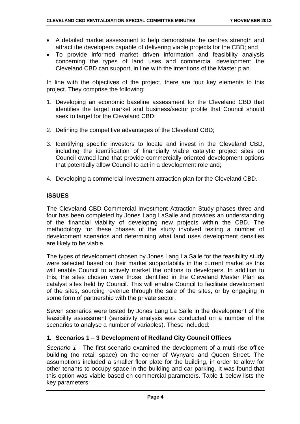- A detailed market assessment to help demonstrate the centres strength and attract the developers capable of delivering viable projects for the CBD; and
- To provide informed market driven information and feasibility analysis concerning the types of land uses and commercial development the Cleveland CBD can support, in line with the intentions of the Master plan.

In line with the objectives of the project, there are four key elements to this project. They comprise the following:

- 1. Developing an economic baseline assessment for the Cleveland CBD that identifies the target market and business/sector profile that Council should seek to target for the Cleveland CBD;
- 2. Defining the competitive advantages of the Cleveland CBD;
- 3. Identifying specific investors to locate and invest in the Cleveland CBD, including the identification of financially viable catalytic project sites on Council owned land that provide commercially oriented development options that potentially allow Council to act in a development role and;
- 4. Developing a commercial investment attraction plan for the Cleveland CBD.

### **ISSUES**

The Cleveland CBD Commercial Investment Attraction Study phases three and four has been completed by Jones Lang LaSalle and provides an understanding of the financial viability of developing new projects within the CBD. The methodology for these phases of the study involved testing a number of development scenarios and determining what land uses development densities are likely to be viable.

The types of development chosen by Jones Lang La Salle for the feasibility study were selected based on their market supportability in the current market as this will enable Council to actively market the options to developers. In addition to this, the sites chosen were those identified in the Cleveland Master Plan as catalyst sites held by Council. This will enable Council to facilitate development of the sites, sourcing revenue through the sale of the sites, or by engaging in some form of partnership with the private sector.

Seven scenarios were tested by Jones Lang La Salle in the development of the feasibility assessment (sensitivity analysis was conducted on a number of the scenarios to analyse a number of variables). These included:

### **1. Scenarios 1 – 3 Development of Redland City Council Offices**

*Scenario 1 -* The first scenario examined the development of a multi-rise office building (no retail space) on the corner of Wynyard and Queen Street. The assumptions included a smaller floor plate for the building, in order to allow for other tenants to occupy space in the building and car parking. It was found that this option was viable based on commercial parameters. Table 1 below lists the key parameters: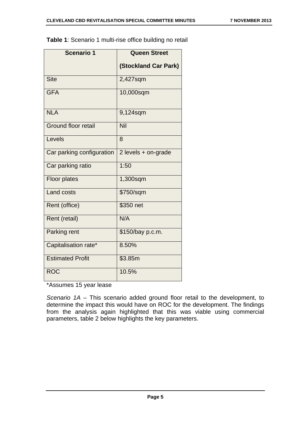| <b>Scenario 1</b>          | <b>Queen Street</b>         |
|----------------------------|-----------------------------|
|                            | <b>(Stockland Car Park)</b> |
| <b>Site</b>                | 2,427sqm                    |
| <b>GFA</b>                 | 10,000sqm                   |
| <b>NLA</b>                 | 9,124sqm                    |
| <b>Ground floor retail</b> | Nil                         |
| Levels                     | 8                           |
| Car parking configuration  | 2 levels + on-grade         |
| Car parking ratio          | 1:50                        |
| <b>Floor plates</b>        | 1,300sqm                    |
| <b>Land costs</b>          | \$750/sqm                   |
| Rent (office)              | \$350 net                   |
| Rent (retail)              | N/A                         |
| Parking rent               | \$150/bay p.c.m.            |
| Capitalisation rate*       | 8.50%                       |
| <b>Estimated Profit</b>    | \$3.85m                     |
| <b>ROC</b>                 | 10.5%                       |

**Table 1**: Scenario 1 multi-rise office building no retail

\*Assumes 15 year lease

*Scenario 1A –* This scenario added ground floor retail to the development, to determine the impact this would have on ROC for the development. The findings from the analysis again highlighted that this was viable using commercial parameters, table 2 below highlights the key parameters.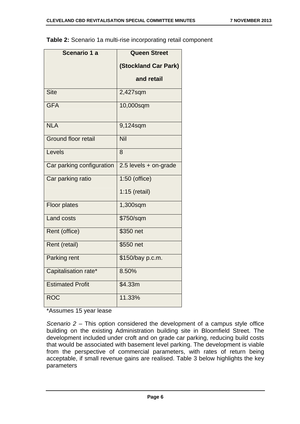| Table 2: Scenario 1a multi-rise incorporating retail component |  |
|----------------------------------------------------------------|--|
|----------------------------------------------------------------|--|

| Scenario 1 a               | <b>Queen Street</b>         |
|----------------------------|-----------------------------|
|                            | <b>(Stockland Car Park)</b> |
|                            | and retail                  |
| <b>Site</b>                | 2,427sqm                    |
| <b>GFA</b>                 | 10,000sqm                   |
| <b>NLA</b>                 | 9,124sqm                    |
| <b>Ground floor retail</b> | Nil                         |
| Levels                     | 8                           |
| Car parking configuration  | $2.5$ levels + on-grade     |
| Car parking ratio          | $1:50$ (office)             |
|                            | $1:15$ (retail)             |
| <b>Floor plates</b>        | 1,300sqm                    |
| <b>Land costs</b>          | \$750/sqm                   |
| Rent (office)              | \$350 net                   |
| Rent (retail)              | \$550 net                   |
| Parking rent               | \$150/bay p.c.m.            |
| Capitalisation rate*       | 8.50%                       |
| <b>Estimated Profit</b>    | \$4.33m                     |
| <b>ROC</b>                 | 11.33%                      |

\*Assumes 15 year lease

*Scenario 2 –* This option considered the development of a campus style office building on the existing Administration building site in Bloomfield Street. The development included under croft and on grade car parking, reducing build costs that would be associated with basement level parking. The development is viable from the perspective of commercial parameters, with rates of return being acceptable, if small revenue gains are realised. Table 3 below highlights the key parameters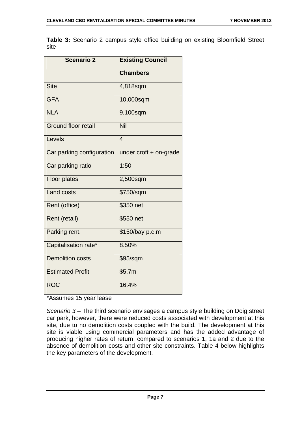**Table 3:** Scenario 2 campus style office building on existing Bloomfield Street site

| <b>Scenario 2</b>          | <b>Existing Council</b> |
|----------------------------|-------------------------|
|                            | <b>Chambers</b>         |
| <b>Site</b>                | 4,818sqm                |
| <b>GFA</b>                 | 10,000sqm               |
| <b>NLA</b>                 | 9,100sqm                |
| <b>Ground floor retail</b> | Nil                     |
| Levels                     | $\overline{4}$          |
| Car parking configuration  | under croft + on-grade  |
| Car parking ratio          | 1:50                    |
| <b>Floor plates</b>        | 2,500sqm                |
| <b>Land costs</b>          | \$750/sqm               |
| Rent (office)              | \$350 net               |
| Rent (retail)              | \$550 net               |
| Parking rent.              | \$150/bay p.c.m         |
| Capitalisation rate*       | 8.50%                   |
| <b>Demolition costs</b>    | \$95/sqm                |
| <b>Estimated Profit</b>    | \$5.7m                  |
| <b>ROC</b>                 | 16.4%                   |

### \*Assumes 15 year lease

*Scenario 3 –* The third scenario envisages a campus style building on Doig street car park, however, there were reduced costs associated with development at this site, due to no demolition costs coupled with the build. The development at this site is viable using commercial parameters and has the added advantage of producing higher rates of return, compared to scenarios 1, 1a and 2 due to the absence of demolition costs and other site constraints. Table 4 below highlights the key parameters of the development.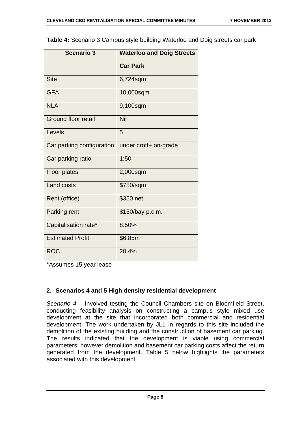| <b>Scenario 3</b>          | <b>Waterloo and Doig Streets</b> |
|----------------------------|----------------------------------|
|                            | <b>Car Park</b>                  |
| <b>Site</b>                | 6,724sqm                         |
| <b>GFA</b>                 | 10,000sqm                        |
| <b>NLA</b>                 | 9,100sqm                         |
| <b>Ground floor retail</b> | Nil                              |
| Levels                     | 5                                |
| Car parking configuration  | under croft+ on-grade            |
| Car parking ratio          | 1:50                             |
| <b>Floor plates</b>        | 2,000sqm                         |
| <b>Land costs</b>          | \$750/sqm                        |
| Rent (office)              | \$350 net                        |
| Parking rent               | \$150/bay p.c.m.                 |
| Capitalisation rate*       | 8.50%                            |
| <b>Estimated Profit</b>    | \$6.85m                          |
| <b>ROC</b>                 | 20.4%                            |

**Table 4:** Scenario 3 Campus style building Waterloo and Doig streets car park

\*Assumes 15 year lease

### **2. Scenarios 4 and 5 High density residential development**

*Scenario 4 –* Involved testing the Council Chambers site on Bloomfield Street, conducting feasibility analysis on constructing a campus style mixed use development at the site that incorporated both commercial and residential development. The work undertaken by JLL in regards to this site included the demolition of the existing building and the construction of basement car parking. The results indicated that the development is viable using commercial parameters; however demolition and basement car parking costs affect the return generated from the development. Table 5 below highlights the parameters associated with this development.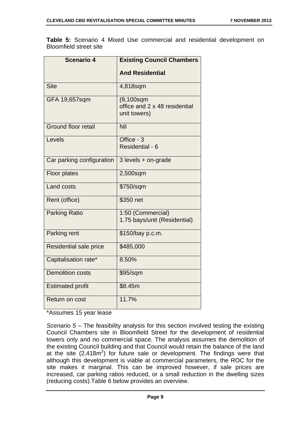**Table 5:** Scenario 4 Mixed Use commercial and residential development on Bloomfield street site

| <b>Scenario 4</b>          | <b>Existing Council Chambers</b>                               |
|----------------------------|----------------------------------------------------------------|
|                            | <b>And Residential</b>                                         |
| <b>Site</b>                | 4,818sqm                                                       |
| GFA 19,657sqm              | $(9, 100$ sqm<br>office and 2 x 48 residential<br>unit towers) |
| <b>Ground floor retail</b> | Nil                                                            |
| Levels                     | Office - 3<br>Residential - 6                                  |
| Car parking configuration  | 3 levels + on-grade                                            |
| <b>Floor plates</b>        | 2,500sqm                                                       |
| <b>Land costs</b>          | \$750/sqm                                                      |
| Rent (office)              | \$350 net                                                      |
| <b>Parking Ratio</b>       | 1:50 (Commercial)<br>1.75 bays/unit (Residential)              |
| Parking rent               | \$150/bay p.c.m.                                               |
| Residential sale price     | \$485,000                                                      |
| Capitalisation rate*       | 8.50%                                                          |
| <b>Demolition costs</b>    | \$95/sqm                                                       |
| <b>Estimated profit</b>    | \$8.45m                                                        |
| <b>Return on cost</b>      | 11.7%                                                          |

\*Assumes 15 year lease

*Scenario 5 –* The feasibility analysis for this section involved testing the existing Council Chambers site in Bloomfield Street for the development of residential towers only and no commercial space. The analysis assumes the demolition of the existing Council building and that Council would retain the balance of the land at the site  $(2,418m^2)$  for future sale or development. The findings were that although this development is viable at commercial parameters, the ROC for the site makes it marginal. This can be improved however, if sale prices are increased, car parking ratios reduced, or a small reduction in the dwelling sizes (reducing costs).Table 6 below provides an overview.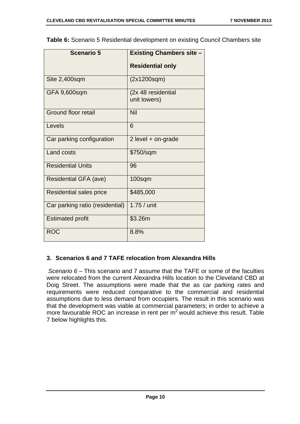| <b>Scenario 5</b>               | <b>Existing Chambers site -</b>    |
|---------------------------------|------------------------------------|
|                                 | <b>Residential only</b>            |
| Site 2,400sqm                   | (2x1200sqm)                        |
| GFA 9,600sqm                    | (2x 48 residential<br>unit towers) |
| Ground floor retail             | Nil                                |
| Levels                          | 6                                  |
| Car parking configuration       | 2 level $+$ on-grade               |
| <b>Land costs</b>               | \$750/sqm                          |
| <b>Residential Units</b>        | 96                                 |
| <b>Residential GFA (ave)</b>    | $100$ sqm                          |
| Residential sales price         | \$485,000                          |
| Car parking ratio (residential) | 1.75 / unit                        |
| <b>Estimated profit</b>         | \$3.26m                            |
| <b>ROC</b>                      | 8.8%                               |

**Table 6:** Scenario 5 Residential development on existing Council Chambers site

### **3. Scenarios 6 and 7 TAFE relocation from Alexandra Hills**

*Scenario 6 –* This scenario and 7 assume that the TAFE or some of the faculties were relocated from the current Alexandra Hills location to the Cleveland CBD at Doig Street. The assumptions were made that the as car parking rates and requirements were reduced comparative to the commercial and residential assumptions due to less demand from occupiers. The result in this scenario was that the development was viable at commercial parameters; in order to achieve a more favourable ROC an increase in rent per  $m<sup>2</sup>$  would achieve this result. Table 7 below highlights this.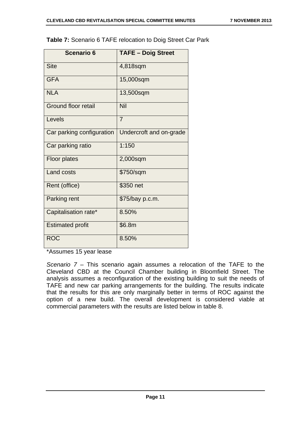| Table 7: Scenario 6 TAFE relocation to Doig Street Car Park |  |
|-------------------------------------------------------------|--|
|-------------------------------------------------------------|--|

| <b>Scenario 6</b>         | <b>TAFE - Doig Street</b> |
|---------------------------|---------------------------|
| <b>Site</b>               | 4,818sqm                  |
| <b>GFA</b>                | 15,000sqm                 |
| <b>NLA</b>                | 13,500sqm                 |
| Ground floor retail       | Nil                       |
| Levels                    | $\overline{7}$            |
| Car parking configuration | Undercroft and on-grade   |
| Car parking ratio         | 1:150                     |
| <b>Floor plates</b>       | 2,000sqm                  |
| <b>Land costs</b>         | \$750/sqm                 |
| Rent (office)             | \$350 net                 |
| Parking rent              | \$75/bay p.c.m.           |
| Capitalisation rate*      | 8.50%                     |
| <b>Estimated profit</b>   | \$6.8m                    |
| <b>ROC</b>                | 8.50%                     |

\*Assumes 15 year lease

*Scenario 7 –* This scenario again assumes a relocation of the TAFE to the Cleveland CBD at the Council Chamber building in Bloomfield Street. The analysis assumes a reconfiguration of the existing building to suit the needs of TAFE and new car parking arrangements for the building. The results indicate that the results for this are only marginally better in terms of ROC against the option of a new build. The overall development is considered viable at commercial parameters with the results are listed below in table 8.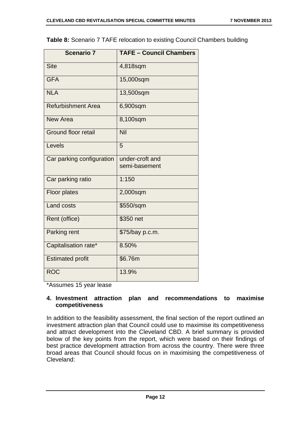| <b>Scenario 7</b>          | <b>TAFE - Council Chambers</b>   |
|----------------------------|----------------------------------|
| <b>Site</b>                | 4,818sqm                         |
| <b>GFA</b>                 | 15,000sqm                        |
| <b>NLA</b>                 | 13,500sqm                        |
| <b>Refurbishment Area</b>  | 6,900sqm                         |
| New Area                   | 8,100sqm                         |
| <b>Ground floor retail</b> | Nil                              |
| Levels                     | 5                                |
| Car parking configuration  | under-croft and<br>semi-basement |
| Car parking ratio          | 1:150                            |
| <b>Floor plates</b>        | 2,000sqm                         |
| Land costs                 | \$550/sqm                        |
| Rent (office)              | \$350 net                        |
| Parking rent               | \$75/bay p.c.m.                  |
| Capitalisation rate*       | 8.50%                            |
| <b>Estimated profit</b>    | \$6.76m                          |
| <b>ROC</b>                 | 13.9%                            |

\*Assumes 15 year lease

### **4. Investment attraction plan and recommendations to maximise competitiveness**

In addition to the feasibility assessment, the final section of the report outlined an investment attraction plan that Council could use to maximise its competitiveness and attract development into the Cleveland CBD. A brief summary is provided below of the key points from the report, which were based on their findings of best practice development attraction from across the country. There were three broad areas that Council should focus on in maximising the competitiveness of Cleveland: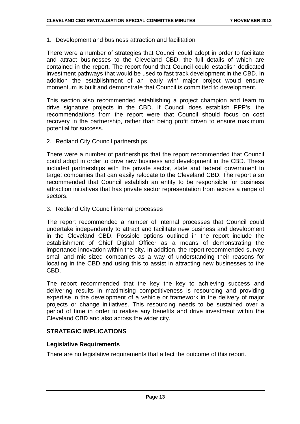### 1. Development and business attraction and facilitation

There were a number of strategies that Council could adopt in order to facilitate and attract businesses to the Cleveland CBD, the full details of which are contained in the report. The report found that Council could establish dedicated investment pathways that would be used to fast track development in the CBD. In addition the establishment of an 'early win' major project would ensure momentum is built and demonstrate that Council is committed to development.

This section also recommended establishing a project champion and team to drive signature projects in the CBD. If Council does establish PPP's, the recommendations from the report were that Council should focus on cost recovery in the partnership, rather than being profit driven to ensure maximum potential for success.

2. Redland City Council partnerships

There were a number of partnerships that the report recommended that Council could adopt in order to drive new business and development in the CBD. These included partnerships with the private sector, state and federal government to target companies that can easily relocate to the Cleveland CBD. The report also recommended that Council establish an entity to be responsible for business attraction initiatives that has private sector representation from across a range of sectors.

3. Redland City Council internal processes

The report recommended a number of internal processes that Council could undertake independently to attract and facilitate new business and development in the Cleveland CBD. Possible options outlined in the report include the establishment of Chief Digital Officer as a means of demonstrating the importance innovation within the city. In addition, the report recommended survey small and mid-sized companies as a way of understanding their reasons for locating in the CBD and using this to assist in attracting new businesses to the CBD.

The report recommended that the key the key to achieving success and delivering results in maximising competitiveness is resourcing and providing expertise in the development of a vehicle or framework in the delivery of major projects or change initiatives. This resourcing needs to be sustained over a period of time in order to realise any benefits and drive investment within the Cleveland CBD and also across the wider city.

### **STRATEGIC IMPLICATIONS**

### **Legislative Requirements**

There are no legislative requirements that affect the outcome of this report.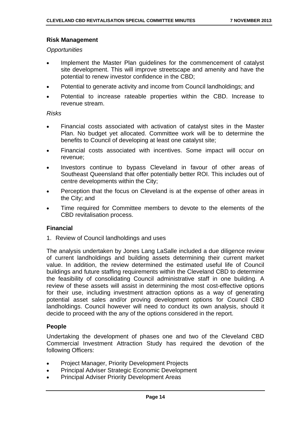### **Risk Management**

### *Opportunities*

- Implement the Master Plan guidelines for the commencement of catalyst site development. This will improve streetscape and amenity and have the potential to renew investor confidence in the CBD;
- Potential to generate activity and income from Council landholdings; and
- Potential to increase rateable properties within the CBD. Increase to revenue stream.

### *Risks*

- Financial costs associated with activation of catalyst sites in the Master Plan. No budget yet allocated. Committee work will be to determine the benefits to Council of developing at least one catalyst site;
- Financial costs associated with incentives. Some impact will occur on revenue;
- Investors continue to bypass Cleveland in favour of other areas of Southeast Queensland that offer potentially better ROI. This includes out of centre developments within the City;
- Perception that the focus on Cleveland is at the expense of other areas in the City; and
- Time required for Committee members to devote to the elements of the CBD revitalisation process.

### **Financial**

1. Review of Council landholdings and uses

The analysis undertaken by Jones Lang LaSalle included a due diligence review of current landholdings and building assets determining their current market value. In addition, the review determined the estimated useful life of Council buildings and future staffing requirements within the Cleveland CBD to determine the feasibility of consolidating Council administrative staff in one building. A review of these assets will assist in determining the most cost-effective options for their use, including investment attraction options as a way of generating potential asset sales and/or proving development options for Council CBD landholdings. Council however will need to conduct its own analysis, should it decide to proceed with the any of the options considered in the report.

### **People**

Undertaking the development of phases one and two of the Cleveland CBD Commercial Investment Attraction Study has required the devotion of the following Officers:

- Project Manager, Priority Development Projects
- Principal Adviser Strategic Economic Development
- Principal Adviser Priority Development Areas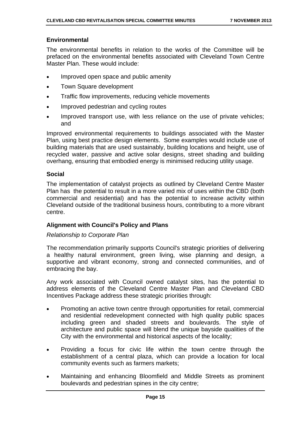### **Environmental**

The environmental benefits in relation to the works of the Committee will be prefaced on the environmental benefits associated with Cleveland Town Centre Master Plan. These would include:

- Improved open space and public amenity
- Town Square development
- Traffic flow improvements, reducing vehicle movements
- Improved pedestrian and cycling routes
- Improved transport use, with less reliance on the use of private vehicles; and

Improved environmental requirements to buildings associated with the Master Plan, using best practice design elements. Some examples would include use of building materials that are used sustainably, building locations and height, use of recycled water, passive and active solar designs, street shading and building overhang, ensuring that embodied energy is minimised reducing utility usage.

### **Social**

The implementation of catalyst projects as outlined by Cleveland Centre Master Plan has the potential to result in a more varied mix of uses within the CBD (both commercial and residential) and has the potential to increase activity within Cleveland outside of the traditional business hours, contributing to a more vibrant centre.

### **Alignment with Council's Policy and Plans**

### *Relationship to Corporate Plan*

The recommendation primarily supports Council's strategic priorities of delivering a healthy natural environment, green living, wise planning and design, a supportive and vibrant economy, strong and connected communities, and of embracing the bay.

Any work associated with Council owned catalyst sites, has the potential to address elements of the Cleveland Centre Master Plan and Cleveland CBD Incentives Package address these strategic priorities through:

- Promoting an active town centre through opportunities for retail, commercial and residential redevelopment connected with high quality public spaces including green and shaded streets and boulevards. The style of architecture and public space will blend the unique bayside qualities of the City with the environmental and historical aspects of the locality;
- Providing a focus for civic life within the town centre through the establishment of a central plaza, which can provide a location for local community events such as farmers markets;
- Maintaining and enhancing Bloomfield and Middle Streets as prominent boulevards and pedestrian spines in the city centre;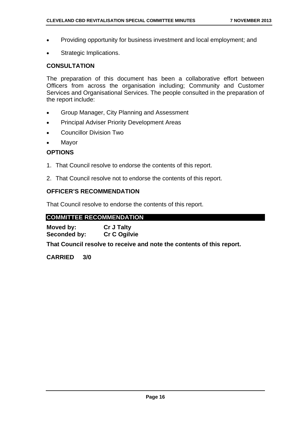- Providing opportunity for business investment and local employment; and
- Strategic Implications.

### **CONSULTATION**

The preparation of this document has been a collaborative effort between Officers from across the organisation including; Community and Customer Services and Organisational Services. The people consulted in the preparation of the report include:

- Group Manager, City Planning and Assessment
- **•** Principal Adviser Priority Development Areas
- Councillor Division Two
- Mayor

### **OPTIONS**

- 1. That Council resolve to endorse the contents of this report.
- 2. That Council resolve not to endorse the contents of this report.

### **OFFICER'S RECOMMENDATION**

That Council resolve to endorse the contents of this report.

### **COMMITTEE RECOMMENDATION**

**Moved by: Cr J Talty**  Seconded by: Cr C Ogilvie

**That Council resolve to receive and note the contents of this report.** 

**CARRIED 3/0**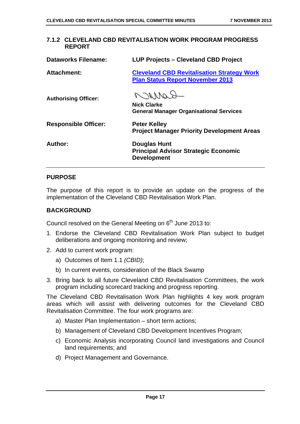| 7.1.2 CLEVELAND CDD REVITALISATION WORK PROGRAM PROGRESS<br><b>REPORT</b> |                                                                                              |
|---------------------------------------------------------------------------|----------------------------------------------------------------------------------------------|
| <b>Dataworks Filename:</b>                                                | <b>LUP Projects - Cleveland CBD Project</b>                                                  |
| Attachment:                                                               | <b>Cleveland CBD Revitalisation Strategy Work</b><br><b>Plan Status Report November 2013</b> |
| <b>Authorising Officer:</b>                                               | NONNa<br><b>Nick Clarke</b><br><b>General Manager Organisational Services</b>                |
| <b>Responsible Officer:</b>                                               | <b>Peter Kelley</b><br><b>Project Manager Priority Development Areas</b>                     |
| Author:                                                                   | <b>Douglas Hunt</b><br><b>Principal Advisor Strategic Economic</b><br><b>Development</b>     |

## **7.1.2 CLEVELAND CBD REVITALISATION WORK PROGRAM PROGRESS**

### **PURPOSE**

The purpose of this report is to provide an update on the progress of the implementation of the Cleveland CBD Revitalisation Work Plan.

### **BACKGROUND**

Council resolved on the General Meeting on 6<sup>th</sup> June 2013 to:

- 1. Endorse the Cleveland CBD Revitalisation Work Plan subject to budget deliberations and ongoing monitoring and review;
- 2. Add to current work program:
	- a) Outcomes of Item 1.1 *(CBID)*;
	- b) In current events, consideration of the Black Swamp
- 3. Bring back to all future Cleveland CBD Revitalisation Committees, the work program including scorecard tracking and progress reporting.

The Cleveland CBD Revitalisation Work Plan highlights 4 key work program areas which will assist with delivering outcomes for the Cleveland CBD Revitalisation Committee. The four work programs are:

- a) Master Plan Implementation short term actions;
- b) Management of Cleveland CBD Development Incentives Program;
- c) Economic Analysis incorporating Council land investigations and Council land requirements; and
- d) Project Management and Governance.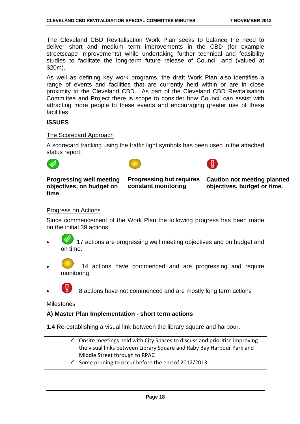The Cleveland CBD Revitalisation Work Plan seeks to balance the need to deliver short and medium term improvements in the CBD (for example streetscape improvements) while undertaking further technical and feasibility studies to facilitate the long-term future release of Council land (valued at \$20m).

As well as defining key work programs, the draft Work Plan also identifies a range of events and facilities that are currently held within or are in close proximity to the Cleveland CBD. As part of the Cleveland CBD Revitalisation Committee and Project there is scope to consider how Council can assist with attracting more people to these events and encouraging greater use of these facilities.

### **ISSUES**

### The Scorecard Approach

A scorecard tracking using the traffic light symbols has been used in the attached status report.







### **Progressing well meeting objectives, on budget on time**

**Progressing but requires constant monitoring** 

**Caution not meeting planned objectives, budget or time.** 

### Progress on Actions

Since commencement of the Work Plan the following progress has been made on the initial 39 actions:

- 17 actions are progressing well meeting objectives and on budget and on time.
- 14 actions have commenced and are progressing and require monitoring.

8 actions have not commenced and are mostly long term actions

### **Milestones**

### **A) Master Plan Implementation - short term actions**

**1.4** Re-establishing a visual link between the library square and harbour.

- Onsite meetings held with City Spaces to discuss and prioritise improving the visual links between Library Square and Raby Bay Harbour Park and Middle Street through to RPAC
- $\checkmark$  Some pruning to occur before the end of 2012/2013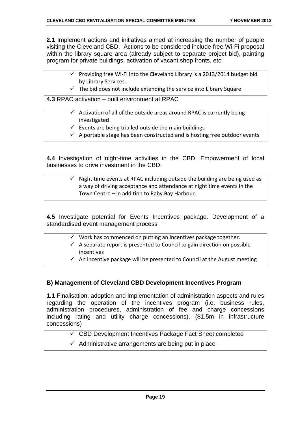**2.1** Implement actions and initiatives aimed at increasing the number of people visiting the Cleveland CBD. Actions to be considered include free Wi-Fi proposal within the library square area (already subject to separate project bid), painting program for private buildings, activation of vacant shop fronts, etc.

- $\checkmark$  Providing free Wi-Fi into the Cleveland Library is a 2013/2014 budget bid by Library Services.
- $\checkmark$  The bid does not include extending the service into Library Square

**4.3** RPAC activation – built environment at RPAC

- $\checkmark$  Activation of all of the outside areas around RPAC is currently being investigated
	- $\checkmark$  Events are being trialled outside the main buildings
	- $\checkmark$  A portable stage has been constructed and is hosting free outdoor events

**4.4** Investigation of night-time activities in the CBD. Empowerment of local businesses to drive investment in the CBD.

### Night time events at RPAC including outside the building are being used as a way of driving acceptance and attendance at night time events in the Town Centre – in addition to Raby Bay Harbour.

**4.5** Investigate potential for Events Incentives package. Development of a standardised event management process

- $\checkmark$  Work has commenced on putting an incentives package together.
- $\checkmark$  A separate report is presented to Council to gain direction on possible incentives
- $\checkmark$  An incentive package will be presented to Council at the August meeting

### **B) Management of Cleveland CBD Development Incentives Program**

**1.1** Finalisation, adoption and implementation of administration aspects and rules regarding the operation of the incentives program (i.e. business rules, administration procedures, administration of fee and charge concessions including rating and utility charge concessions). (\$1.5m in infrastructure concessions)

- $\checkmark$  CBD Development Incentives Package Fact Sheet completed
- $\checkmark$  Administrative arrangements are being put in place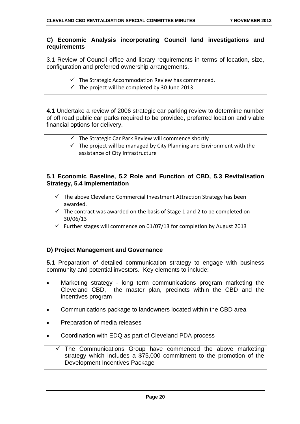### **C) Economic Analysis incorporating Council land investigations and requirements**

3.1 Review of Council office and library requirements in terms of location, size, configuration and preferred ownership arrangements.

- $\checkmark$  The Strategic Accommodation Review has commenced.
- $\checkmark$  The project will be completed by 30 June 2013

**4.1** Undertake a review of 2006 strategic car parking review to determine number of off road public car parks required to be provided, preferred location and viable financial options for delivery.

- $\checkmark$  The Strategic Car Park Review will commence shortly
- $\checkmark$  The project will be managed by City Planning and Environment with the assistance of City Infrastructure

### **5.1 Economic Baseline, 5.2 Role and Function of CBD, 5.3 Revitalisation Strategy, 5.4 Implementation**

- $\checkmark$  The above Cleveland Commercial Investment Attraction Strategy has been awarded.
- $\checkmark$  The contract was awarded on the basis of Stage 1 and 2 to be completed on 30/06/13
- $\checkmark$  Further stages will commence on 01/07/13 for completion by August 2013

### **D) Project Management and Governance**

**5.1** Preparation of detailed communication strategy to engage with business community and potential investors. Key elements to include:

- Marketing strategy long term communications program marketing the Cleveland CBD, the master plan, precincts within the CBD and the incentives program
- Communications package to landowners located within the CBD area
- Preparation of media releases
- Coordination with EDQ as part of Cleveland PDA process
	- The Communications Group have commenced the above marketing strategy which includes a \$75,000 commitment to the promotion of the Development Incentives Package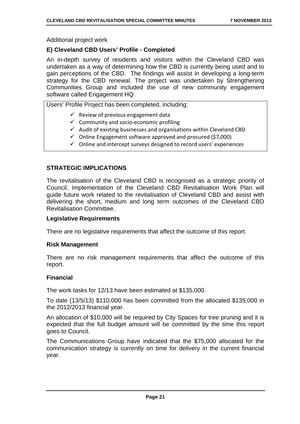Additional project work

### **E) Cleveland CBD Users' Profile - Completed**

An in-depth survey of residents and visitors within the Cleveland CBD was undertaken as a way of determining how the CBD is currently being used and to gain perceptions of the CBD. The findings will assist in developing a long-term strategy for the CBD renewal. The project was undertaken by Strengthening Communities Group and included the use of new community engagement software called Engagement HQ.

Users' Profile Project has been completed, including:

- $\checkmark$  Review of previous engagement data
- $\checkmark$  Community and socio-economic profiling
- $\checkmark$  Audit of existing businesses and organisations within Cleveland CBD
- $\checkmark$  Online Engagement software approved and procured (\$7,000)
- $\checkmark$  Online and intercept surveys designed to record users' experiences

### **STRATEGIC IMPLICATIONS**

The revitalisation of the Cleveland CBD is recognised as a strategic priority of Council. Implementation of the Cleveland CBD Revitalisation Work Plan will guide future work related to the revitalisation of Cleveland CBD and assist with delivering the short, medium and long term outcomes of the Cleveland CBD Revitalisation Committee.

### **Legislative Requirements**

There are no legislative requirements that affect the outcome of this report.

### **Risk Management**

There are no risk management requirements that affect the outcome of this report.

### **Financial**

The work tasks for 12/13 have been estimated at \$135,000.

To date (13/5/13) \$110,000 has been committed from the allocated \$135,000 in the 2012/2013 financial year.

An allocation of \$10,000 will be required by City Spaces for tree pruning and it is expected that the full budget amount will be committed by the time this report goes to Council.

The Communications Group have indicated that the \$75,000 allocated for the communication strategy is currently on time for delivery in the current financial year.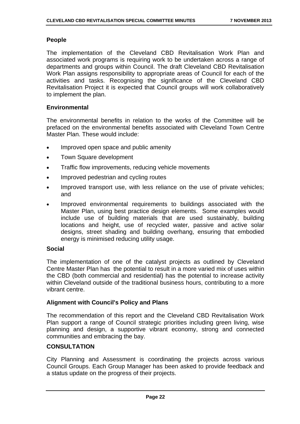### **People**

The implementation of the Cleveland CBD Revitalisation Work Plan and associated work programs is requiring work to be undertaken across a range of departments and groups within Council. The draft Cleveland CBD Revitalisation Work Plan assigns responsibility to appropriate areas of Council for each of the activities and tasks. Recognising the significance of the Cleveland CBD Revitalisation Project it is expected that Council groups will work collaboratively to implement the plan.

### **Environmental**

The environmental benefits in relation to the works of the Committee will be prefaced on the environmental benefits associated with Cleveland Town Centre Master Plan. These would include:

- Improved open space and public amenity
- Town Square development
- Traffic flow improvements, reducing vehicle movements
- Improved pedestrian and cycling routes
- Improved transport use, with less reliance on the use of private vehicles; and
- Improved environmental requirements to buildings associated with the Master Plan, using best practice design elements. Some examples would include use of building materials that are used sustainably, building locations and height, use of recycled water, passive and active solar designs, street shading and building overhang, ensuring that embodied energy is minimised reducing utility usage.

### **Social**

The implementation of one of the catalyst projects as outlined by Cleveland Centre Master Plan has the potential to result in a more varied mix of uses within the CBD (both commercial and residential) has the potential to increase activity within Cleveland outside of the traditional business hours, contributing to a more vibrant centre.

### **Alignment with Council's Policy and Plans**

The recommendation of this report and the Cleveland CBD Revitalisation Work Plan support a range of Council strategic priorities including green living, wise planning and design, a supportive vibrant economy, strong and connected communities and embracing the bay.

### **CONSULTATION**

City Planning and Assessment is coordinating the projects across various Council Groups. Each Group Manager has been asked to provide feedback and a status update on the progress of their projects.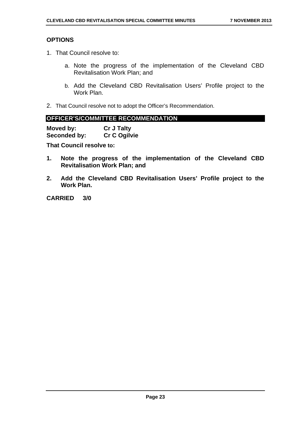### **OPTIONS**

- 1. That Council resolve to:
	- a. Note the progress of the implementation of the Cleveland CBD Revitalisation Work Plan; and
	- b. Add the Cleveland CBD Revitalisation Users' Profile project to the Work Plan.
- 2. That Council resolve not to adopt the Officer's Recommendation.

### **OFFICER'S/COMMITTEE RECOMMENDATION**

| Moved by:    | <b>Cr J Talty</b> |
|--------------|-------------------|
| Seconded by: | Cr C Ogilvie      |

**That Council resolve to:** 

- **1. Note the progress of the implementation of the Cleveland CBD Revitalisation Work Plan; and**
- **2. Add the Cleveland CBD Revitalisation Users' Profile project to the Work Plan.**

**CARRIED 3/0**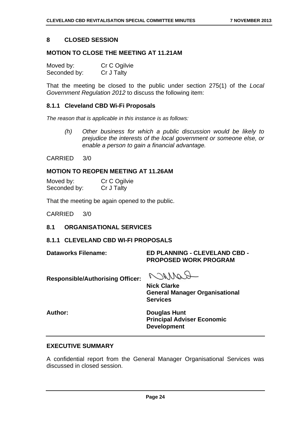### **8 CLOSED SESSION**

### **MOTION TO CLOSE THE MEETING AT 11.21AM**

| Moved by:    | Cr C Ogilvie |
|--------------|--------------|
| Seconded by: | Cr J Talty   |

That the meeting be closed to the public under section 275(1) of the *Local Government Regulation 2012* to discuss the following item:

### **8.1.1 Cleveland CBD Wi-Fi Proposals**

*The reason that is applicable in this instance is as follows:* 

*(h) Other business for which a public discussion would be likely to prejudice the interests of the local government or someone else, or enable a person to gain a financial advantage.* 

CARRIED 3/0

### **MOTION TO REOPEN MEETING AT 11.26AM**

| Moved by:    | Cr C Ogilvie |
|--------------|--------------|
| Seconded by: | Cr J Talty   |

That the meeting be again opened to the public.

CARRIED 3/0

### **8.1 ORGANISATIONAL SERVICES**

### **8.1.1 CLEVELAND CBD WI-FI PROPOSALS**

### **Dataworks Filename: ED PLANNING - CLEVELAND CBD - PROPOSED WORK PROGRAM**

**Responsible/Authorising Officer:** 

Carron

**Nick Clarke General Manager Organisational Services** 

**Author: Douglas Hunt Principal Adviser Economic Development** 

### **EXECUTIVE SUMMARY**

A confidential report from the General Manager Organisational Services was discussed in closed session.